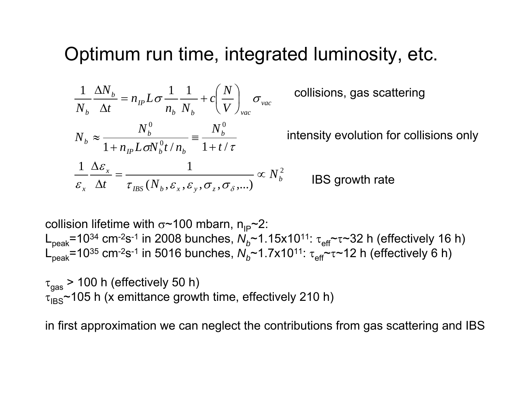## Optimum run time, integrated luminosity, etc.

$$
\frac{1}{N_b} \frac{\Delta N_b}{\Delta t} = n_{IP} L \sigma \frac{1}{n_b} \frac{1}{N_b} + c \left(\frac{N}{V}\right)_{vac}
$$
 collisions, gas scattering  
\n
$$
N_b \approx \frac{N_b^0}{1 + n_{IP} L \sigma N_b^0 t / n_b} = \frac{N_b^0}{1 + t / \tau}
$$
 intensity evolution for collisions only  
\n
$$
\frac{1}{\varepsilon_x} \frac{\Delta \varepsilon_x}{\Delta t} = \frac{1}{\tau_{BS} (N_b, \varepsilon_x, \varepsilon_y, \sigma_z, \sigma_\delta, \dots)} \propto N_b^2
$$
IBS growth rate

collision lifetime with σ~100 mbarn, n<sub>ıP</sub>~2: L<sub>peak</sub>=10<sup>34</sup> cm<sup>-2</sup>s<sup>-1</sup> in 2008 bunches, *N<sub>b</sub>*~1.15x10<sup>11</sup>: τ<sub>eff</sub> ~ <sup>τ</sup>~32 h (effectively 16 h) L<sub>peak</sub>=10<sup>35</sup> cm<sup>-2</sup>s<sup>-1</sup> in 5016 bunches, *N<sub>b</sub>*~1.7x10<sup>11</sup>: τ<sub>eff</sub> ~ <sup>τ</sup>~12 h (effectively 6 h)

 $\tau_{\text{gas}}$  > 100 h (effectively 50 h)  $\tau_{\text{IBS}}$ ~105 h (x emittance growth time, effectively 210 h)

in first approximation we can neglect the contributions from gas scattering and IBS